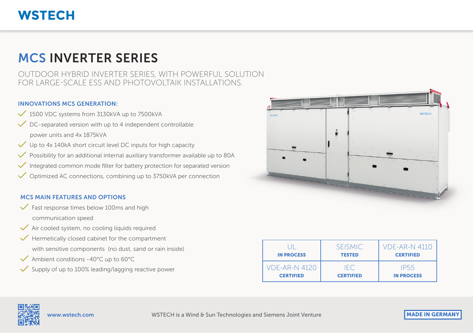### **WSTECH**

## MCS INVERTER SERIES

OUTDOOR HYBRID INVERTER SERIES, WITH POWERFUL SOLUTION FOR LARGE-SCALE ESS AND PHOTOVOLTAIK INSTALLATIONS.

#### INNOVATIONS MCS GENERATION:

- $\checkmark$  1500 VDC systems from 3130kVA up to 7500kVA
- $\sqrt{\phantom{a}}$  DC-separated version with up to 4 independent controllable power units and 4x 1875kVA
- $\sqrt{\phantom{a}}$  Up to 4x 140kA short circuit level DC inputs for high capacity
- Possibility for an additional internal auxiliary transformer available up to 80A
- Integrated common mode filter for battery protection for separated version
- Optimized AC connections, combining up to 3750kVA per connection

#### MCS MAIN FEATURES AND OPTIONS

- $\checkmark$  Fast response times below 100ms and high communication speed
- $\sqrt{\ }$  Air cooled system, no cooling liquids required
- $\sqrt{\ }$  Hermetically closed cabinet for the compartment with sensitive components (no dust, sand or rain inside)
- $\checkmark$  Ambient conditions -40°C up to 60°C
- Supply of up to 100% leading/lagging reactive power



| <b>IN PROCESS</b>    | <b>SEISMIC</b><br><b>TESTED</b> | <b>VDF-AR-N 4110</b><br><b>CERTIFIED</b> |
|----------------------|---------------------------------|------------------------------------------|
| <b>VDF-AR-N 4120</b> | IEC.                            | IP55                                     |
| <b>CERTIFIED</b>     | <b>CERTIFIED</b>                | <b>IN PROCESS</b>                        |